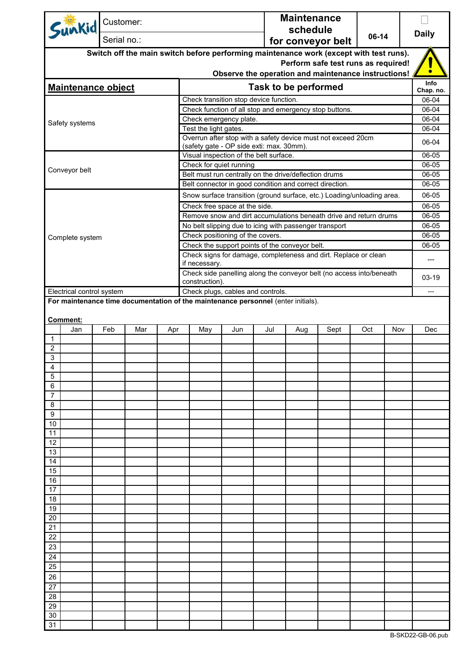| Sunkid                                                                                                         | Customer:   |     |     |                            |                                                                   |     | <b>Maintenance</b>          |                                                                                        |     |     |                    |
|----------------------------------------------------------------------------------------------------------------|-------------|-----|-----|----------------------------|-------------------------------------------------------------------|-----|-----------------------------|----------------------------------------------------------------------------------------|-----|-----|--------------------|
|                                                                                                                |             |     |     |                            |                                                                   |     | schedule                    |                                                                                        |     |     | <b>Daily</b>       |
|                                                                                                                | Serial no.: |     |     | 06-14<br>for conveyor belt |                                                                   |     |                             |                                                                                        |     |     |                    |
|                                                                                                                |             |     |     |                            |                                                                   |     |                             | Switch off the main switch before performing maintenance work (except with test runs). |     |     |                    |
|                                                                                                                |             |     |     |                            |                                                                   |     |                             | Perform safe test runs as required!                                                    |     |     |                    |
|                                                                                                                |             |     |     |                            |                                                                   |     |                             | Observe the operation and maintenance instructions!                                    |     |     |                    |
| <b>Maintenance object</b>                                                                                      |             |     |     |                            |                                                                   |     | <b>Task to be performed</b> |                                                                                        |     |     | <b>Info</b>        |
|                                                                                                                |             |     |     |                            | Check transition stop device function.                            |     |                             |                                                                                        |     |     | Chap. no.<br>06-04 |
|                                                                                                                |             |     |     |                            |                                                                   |     |                             | Check function of all stop and emergency stop buttons.                                 |     |     | 06-04              |
|                                                                                                                |             |     |     |                            | Check emergency plate.                                            |     |                             |                                                                                        |     |     | 06-04              |
| Safety systems                                                                                                 |             |     |     | Test the light gates.      |                                                                   |     |                             |                                                                                        |     |     | 06-04              |
|                                                                                                                |             |     |     |                            |                                                                   |     |                             | Overrun after stop with a safety device must not exceed 20cm                           |     |     | 06-04              |
|                                                                                                                |             |     |     |                            | (safety gate - OP side exti: max. 30mm).                          |     |                             |                                                                                        |     |     |                    |
|                                                                                                                |             |     |     |                            | Visual inspection of the belt surface.<br>Check for quiet running |     |                             |                                                                                        |     |     | 06-05<br>06-05     |
| Conveyor belt                                                                                                  |             |     |     |                            | Belt must run centrally on the drive/deflection drums             |     |                             |                                                                                        |     |     | 06-05              |
|                                                                                                                |             |     |     |                            | Belt connector in good condition and correct direction.           |     |                             |                                                                                        |     |     | 06-05              |
|                                                                                                                |             |     |     |                            |                                                                   |     |                             | Snow surface transition (ground surface, etc.) Loading/unloading area.                 |     |     | 06-05              |
|                                                                                                                |             |     |     |                            | Check free space at the side.                                     |     |                             |                                                                                        |     |     | 06-05              |
|                                                                                                                |             |     |     |                            |                                                                   |     |                             | Remove snow and dirt accumulations beneath drive and return drums                      |     |     | 06-05              |
|                                                                                                                |             |     |     |                            | No belt slipping due to icing with passenger transport            |     |                             |                                                                                        |     |     | 06-05              |
| Complete system                                                                                                |             |     |     |                            | Check positioning of the covers.                                  |     |                             |                                                                                        |     |     | 06-05              |
|                                                                                                                |             |     |     |                            | Check the support points of the conveyor belt.                    |     |                             |                                                                                        |     |     | 06-05              |
|                                                                                                                |             |     |     |                            |                                                                   |     |                             | Check signs for damage, completeness and dirt. Replace or clean                        |     |     | ---                |
|                                                                                                                |             |     |     | if necessary.              |                                                                   |     |                             |                                                                                        |     |     |                    |
|                                                                                                                |             |     |     |                            |                                                                   |     |                             | Check side panelling along the conveyor belt (no access into/beneath                   |     |     | 03-19              |
|                                                                                                                |             |     |     | construction).             |                                                                   |     |                             |                                                                                        |     |     |                    |
| Electrical control system<br>For maintenance time documentation of the maintenance personnel (enter initials). |             |     |     |                            | Check plugs, cables and controls.                                 |     |                             |                                                                                        |     |     | ---                |
|                                                                                                                |             |     |     |                            |                                                                   |     |                             |                                                                                        |     |     |                    |
| Comment:                                                                                                       |             |     |     |                            |                                                                   |     |                             |                                                                                        |     |     |                    |
| Jan                                                                                                            | Feb         | Mar | Apr | May                        | Jun                                                               | Jul | Aug                         | Sept                                                                                   | Oct | Nov | Dec                |
| $\mathbf 1$                                                                                                    |             |     |     |                            |                                                                   |     |                             |                                                                                        |     |     |                    |
| $\overline{\mathbf{c}}$                                                                                        |             |     |     |                            |                                                                   |     |                             |                                                                                        |     |     |                    |
| 3                                                                                                              |             |     |     |                            |                                                                   |     |                             |                                                                                        |     |     |                    |
| 4<br>5                                                                                                         |             |     |     |                            |                                                                   |     |                             |                                                                                        |     |     |                    |
| 6                                                                                                              |             |     |     |                            |                                                                   |     |                             |                                                                                        |     |     |                    |
| 7                                                                                                              |             |     |     |                            |                                                                   |     |                             |                                                                                        |     |     |                    |
| 8                                                                                                              |             |     |     |                            |                                                                   |     |                             |                                                                                        |     |     |                    |
| 9                                                                                                              |             |     |     |                            |                                                                   |     |                             |                                                                                        |     |     |                    |
| 10                                                                                                             |             |     |     |                            |                                                                   |     |                             |                                                                                        |     |     |                    |
| 11                                                                                                             |             |     |     |                            |                                                                   |     |                             |                                                                                        |     |     |                    |
| 12                                                                                                             |             |     |     |                            |                                                                   |     |                             |                                                                                        |     |     |                    |
| 13<br>14                                                                                                       |             |     |     |                            |                                                                   |     |                             |                                                                                        |     |     |                    |
| 15                                                                                                             |             |     |     |                            |                                                                   |     |                             |                                                                                        |     |     |                    |
| 16                                                                                                             |             |     |     |                            |                                                                   |     |                             |                                                                                        |     |     |                    |
| 17                                                                                                             |             |     |     |                            |                                                                   |     |                             |                                                                                        |     |     |                    |
| 18                                                                                                             |             |     |     |                            |                                                                   |     |                             |                                                                                        |     |     |                    |
| 19                                                                                                             |             |     |     |                            |                                                                   |     |                             |                                                                                        |     |     |                    |
| 20                                                                                                             |             |     |     |                            |                                                                   |     |                             |                                                                                        |     |     |                    |
| 21                                                                                                             |             |     |     |                            |                                                                   |     |                             |                                                                                        |     |     |                    |
| 22                                                                                                             |             |     |     |                            |                                                                   |     |                             |                                                                                        |     |     |                    |
| 23                                                                                                             |             |     |     |                            |                                                                   |     |                             |                                                                                        |     |     |                    |
| 24                                                                                                             |             |     |     |                            |                                                                   |     |                             |                                                                                        |     |     |                    |
| 25                                                                                                             |             |     |     |                            |                                                                   |     |                             |                                                                                        |     |     |                    |
| 26<br>27                                                                                                       |             |     |     |                            |                                                                   |     |                             |                                                                                        |     |     |                    |
| 28                                                                                                             |             |     |     |                            |                                                                   |     |                             |                                                                                        |     |     |                    |
| 29                                                                                                             |             |     |     |                            |                                                                   |     |                             |                                                                                        |     |     |                    |
|                                                                                                                |             |     |     |                            |                                                                   |     |                             |                                                                                        |     |     |                    |
| 30                                                                                                             |             |     |     |                            |                                                                   |     |                             |                                                                                        |     |     |                    |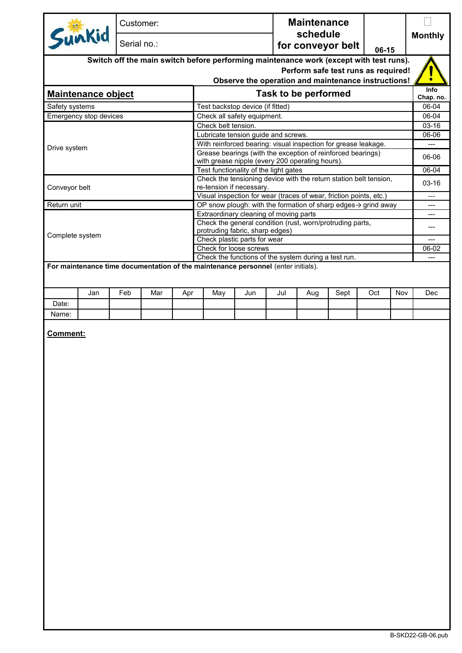| Sunkid<br>schedule<br>Serial no.:<br>for conveyor belt<br>06-15<br>Switch off the main switch before performing maintenance work (except with test runs).<br>Perform safe test runs as required!<br>Observe the operation and maintenance instructions!<br><b>Task to be performed</b><br><b>Maintenance object</b><br>Test backstop device (if fitted)<br>Safety systems<br>Emergency stop devices<br>Check all safety equipment.<br>Check belt tension.<br>Lubricate tension guide and screws.<br>With reinforced bearing: visual inspection for grease leakage.<br>Drive system<br>Grease bearings (with the exception of reinforced bearings)<br>with grease nipple (every 200 operating hours).<br>Test functionality of the light gates<br>Check the tensioning device with the return station belt tension,<br>re-tension if necessary.<br>Conveyor belt<br>Visual inspection for wear (traces of wear, friction points, etc.)<br>Return unit<br>OP snow plough: with the formation of sharp edges $\rightarrow$ grind away<br>Extraordinary cleaning of moving parts<br>Check the general condition (rust, worn/protruding parts,<br>protruding fabric, sharp edges)<br>Complete system<br>Check plastic parts for wear<br>Check for loose screws<br>Check the functions of the system during a test run.<br>For maintenance time documentation of the maintenance personnel (enter initials).<br>Jan<br>Feb<br>Mar<br>Jun<br>Jul<br>Sept<br>Oct<br>Nov<br>Apr<br>May<br>Aug<br>Date:<br>Name:<br>Comment: | Info<br>$---$<br>---<br>---<br>---<br>---<br>Dec | Chap. no.<br>06-06<br>$03-16$<br>06-02 | Customer: |  |  |  |  |  |  |  | <b>Maintenance</b> |  |  |  |                |
|--------------------------------------------------------------------------------------------------------------------------------------------------------------------------------------------------------------------------------------------------------------------------------------------------------------------------------------------------------------------------------------------------------------------------------------------------------------------------------------------------------------------------------------------------------------------------------------------------------------------------------------------------------------------------------------------------------------------------------------------------------------------------------------------------------------------------------------------------------------------------------------------------------------------------------------------------------------------------------------------------------------------------------------------------------------------------------------------------------------------------------------------------------------------------------------------------------------------------------------------------------------------------------------------------------------------------------------------------------------------------------------------------------------------------------------------------------------------------------------------------------------------|--------------------------------------------------|----------------------------------------|-----------|--|--|--|--|--|--|--|--------------------|--|--|--|----------------|
|                                                                                                                                                                                                                                                                                                                                                                                                                                                                                                                                                                                                                                                                                                                                                                                                                                                                                                                                                                                                                                                                                                                                                                                                                                                                                                                                                                                                                                                                                                                    |                                                  |                                        |           |  |  |  |  |  |  |  |                    |  |  |  | <b>Monthly</b> |
|                                                                                                                                                                                                                                                                                                                                                                                                                                                                                                                                                                                                                                                                                                                                                                                                                                                                                                                                                                                                                                                                                                                                                                                                                                                                                                                                                                                                                                                                                                                    |                                                  |                                        |           |  |  |  |  |  |  |  |                    |  |  |  |                |
|                                                                                                                                                                                                                                                                                                                                                                                                                                                                                                                                                                                                                                                                                                                                                                                                                                                                                                                                                                                                                                                                                                                                                                                                                                                                                                                                                                                                                                                                                                                    |                                                  |                                        |           |  |  |  |  |  |  |  |                    |  |  |  |                |
|                                                                                                                                                                                                                                                                                                                                                                                                                                                                                                                                                                                                                                                                                                                                                                                                                                                                                                                                                                                                                                                                                                                                                                                                                                                                                                                                                                                                                                                                                                                    |                                                  |                                        |           |  |  |  |  |  |  |  |                    |  |  |  |                |
|                                                                                                                                                                                                                                                                                                                                                                                                                                                                                                                                                                                                                                                                                                                                                                                                                                                                                                                                                                                                                                                                                                                                                                                                                                                                                                                                                                                                                                                                                                                    |                                                  |                                        |           |  |  |  |  |  |  |  |                    |  |  |  |                |
|                                                                                                                                                                                                                                                                                                                                                                                                                                                                                                                                                                                                                                                                                                                                                                                                                                                                                                                                                                                                                                                                                                                                                                                                                                                                                                                                                                                                                                                                                                                    |                                                  |                                        |           |  |  |  |  |  |  |  |                    |  |  |  | 06-04          |
|                                                                                                                                                                                                                                                                                                                                                                                                                                                                                                                                                                                                                                                                                                                                                                                                                                                                                                                                                                                                                                                                                                                                                                                                                                                                                                                                                                                                                                                                                                                    |                                                  |                                        |           |  |  |  |  |  |  |  |                    |  |  |  | 06-04          |
|                                                                                                                                                                                                                                                                                                                                                                                                                                                                                                                                                                                                                                                                                                                                                                                                                                                                                                                                                                                                                                                                                                                                                                                                                                                                                                                                                                                                                                                                                                                    |                                                  |                                        |           |  |  |  |  |  |  |  |                    |  |  |  | 03-16          |
|                                                                                                                                                                                                                                                                                                                                                                                                                                                                                                                                                                                                                                                                                                                                                                                                                                                                                                                                                                                                                                                                                                                                                                                                                                                                                                                                                                                                                                                                                                                    |                                                  |                                        |           |  |  |  |  |  |  |  |                    |  |  |  | 06-06          |
|                                                                                                                                                                                                                                                                                                                                                                                                                                                                                                                                                                                                                                                                                                                                                                                                                                                                                                                                                                                                                                                                                                                                                                                                                                                                                                                                                                                                                                                                                                                    |                                                  |                                        |           |  |  |  |  |  |  |  |                    |  |  |  |                |
|                                                                                                                                                                                                                                                                                                                                                                                                                                                                                                                                                                                                                                                                                                                                                                                                                                                                                                                                                                                                                                                                                                                                                                                                                                                                                                                                                                                                                                                                                                                    |                                                  |                                        |           |  |  |  |  |  |  |  |                    |  |  |  |                |
|                                                                                                                                                                                                                                                                                                                                                                                                                                                                                                                                                                                                                                                                                                                                                                                                                                                                                                                                                                                                                                                                                                                                                                                                                                                                                                                                                                                                                                                                                                                    |                                                  |                                        |           |  |  |  |  |  |  |  |                    |  |  |  |                |
|                                                                                                                                                                                                                                                                                                                                                                                                                                                                                                                                                                                                                                                                                                                                                                                                                                                                                                                                                                                                                                                                                                                                                                                                                                                                                                                                                                                                                                                                                                                    |                                                  |                                        |           |  |  |  |  |  |  |  |                    |  |  |  | $06 - 04$      |
|                                                                                                                                                                                                                                                                                                                                                                                                                                                                                                                                                                                                                                                                                                                                                                                                                                                                                                                                                                                                                                                                                                                                                                                                                                                                                                                                                                                                                                                                                                                    |                                                  |                                        |           |  |  |  |  |  |  |  |                    |  |  |  |                |
|                                                                                                                                                                                                                                                                                                                                                                                                                                                                                                                                                                                                                                                                                                                                                                                                                                                                                                                                                                                                                                                                                                                                                                                                                                                                                                                                                                                                                                                                                                                    |                                                  |                                        |           |  |  |  |  |  |  |  |                    |  |  |  |                |
|                                                                                                                                                                                                                                                                                                                                                                                                                                                                                                                                                                                                                                                                                                                                                                                                                                                                                                                                                                                                                                                                                                                                                                                                                                                                                                                                                                                                                                                                                                                    |                                                  |                                        |           |  |  |  |  |  |  |  |                    |  |  |  |                |
|                                                                                                                                                                                                                                                                                                                                                                                                                                                                                                                                                                                                                                                                                                                                                                                                                                                                                                                                                                                                                                                                                                                                                                                                                                                                                                                                                                                                                                                                                                                    |                                                  |                                        |           |  |  |  |  |  |  |  |                    |  |  |  |                |
|                                                                                                                                                                                                                                                                                                                                                                                                                                                                                                                                                                                                                                                                                                                                                                                                                                                                                                                                                                                                                                                                                                                                                                                                                                                                                                                                                                                                                                                                                                                    |                                                  |                                        |           |  |  |  |  |  |  |  |                    |  |  |  |                |
|                                                                                                                                                                                                                                                                                                                                                                                                                                                                                                                                                                                                                                                                                                                                                                                                                                                                                                                                                                                                                                                                                                                                                                                                                                                                                                                                                                                                                                                                                                                    |                                                  |                                        |           |  |  |  |  |  |  |  |                    |  |  |  |                |
|                                                                                                                                                                                                                                                                                                                                                                                                                                                                                                                                                                                                                                                                                                                                                                                                                                                                                                                                                                                                                                                                                                                                                                                                                                                                                                                                                                                                                                                                                                                    |                                                  |                                        |           |  |  |  |  |  |  |  |                    |  |  |  |                |
|                                                                                                                                                                                                                                                                                                                                                                                                                                                                                                                                                                                                                                                                                                                                                                                                                                                                                                                                                                                                                                                                                                                                                                                                                                                                                                                                                                                                                                                                                                                    |                                                  |                                        |           |  |  |  |  |  |  |  |                    |  |  |  |                |
|                                                                                                                                                                                                                                                                                                                                                                                                                                                                                                                                                                                                                                                                                                                                                                                                                                                                                                                                                                                                                                                                                                                                                                                                                                                                                                                                                                                                                                                                                                                    |                                                  |                                        |           |  |  |  |  |  |  |  |                    |  |  |  |                |
|                                                                                                                                                                                                                                                                                                                                                                                                                                                                                                                                                                                                                                                                                                                                                                                                                                                                                                                                                                                                                                                                                                                                                                                                                                                                                                                                                                                                                                                                                                                    |                                                  |                                        |           |  |  |  |  |  |  |  |                    |  |  |  |                |
|                                                                                                                                                                                                                                                                                                                                                                                                                                                                                                                                                                                                                                                                                                                                                                                                                                                                                                                                                                                                                                                                                                                                                                                                                                                                                                                                                                                                                                                                                                                    |                                                  |                                        |           |  |  |  |  |  |  |  |                    |  |  |  |                |
|                                                                                                                                                                                                                                                                                                                                                                                                                                                                                                                                                                                                                                                                                                                                                                                                                                                                                                                                                                                                                                                                                                                                                                                                                                                                                                                                                                                                                                                                                                                    |                                                  |                                        |           |  |  |  |  |  |  |  |                    |  |  |  |                |
|                                                                                                                                                                                                                                                                                                                                                                                                                                                                                                                                                                                                                                                                                                                                                                                                                                                                                                                                                                                                                                                                                                                                                                                                                                                                                                                                                                                                                                                                                                                    |                                                  |                                        |           |  |  |  |  |  |  |  |                    |  |  |  |                |
|                                                                                                                                                                                                                                                                                                                                                                                                                                                                                                                                                                                                                                                                                                                                                                                                                                                                                                                                                                                                                                                                                                                                                                                                                                                                                                                                                                                                                                                                                                                    |                                                  |                                        |           |  |  |  |  |  |  |  |                    |  |  |  |                |
|                                                                                                                                                                                                                                                                                                                                                                                                                                                                                                                                                                                                                                                                                                                                                                                                                                                                                                                                                                                                                                                                                                                                                                                                                                                                                                                                                                                                                                                                                                                    |                                                  |                                        |           |  |  |  |  |  |  |  |                    |  |  |  |                |
|                                                                                                                                                                                                                                                                                                                                                                                                                                                                                                                                                                                                                                                                                                                                                                                                                                                                                                                                                                                                                                                                                                                                                                                                                                                                                                                                                                                                                                                                                                                    |                                                  |                                        |           |  |  |  |  |  |  |  |                    |  |  |  |                |
|                                                                                                                                                                                                                                                                                                                                                                                                                                                                                                                                                                                                                                                                                                                                                                                                                                                                                                                                                                                                                                                                                                                                                                                                                                                                                                                                                                                                                                                                                                                    |                                                  |                                        |           |  |  |  |  |  |  |  |                    |  |  |  |                |